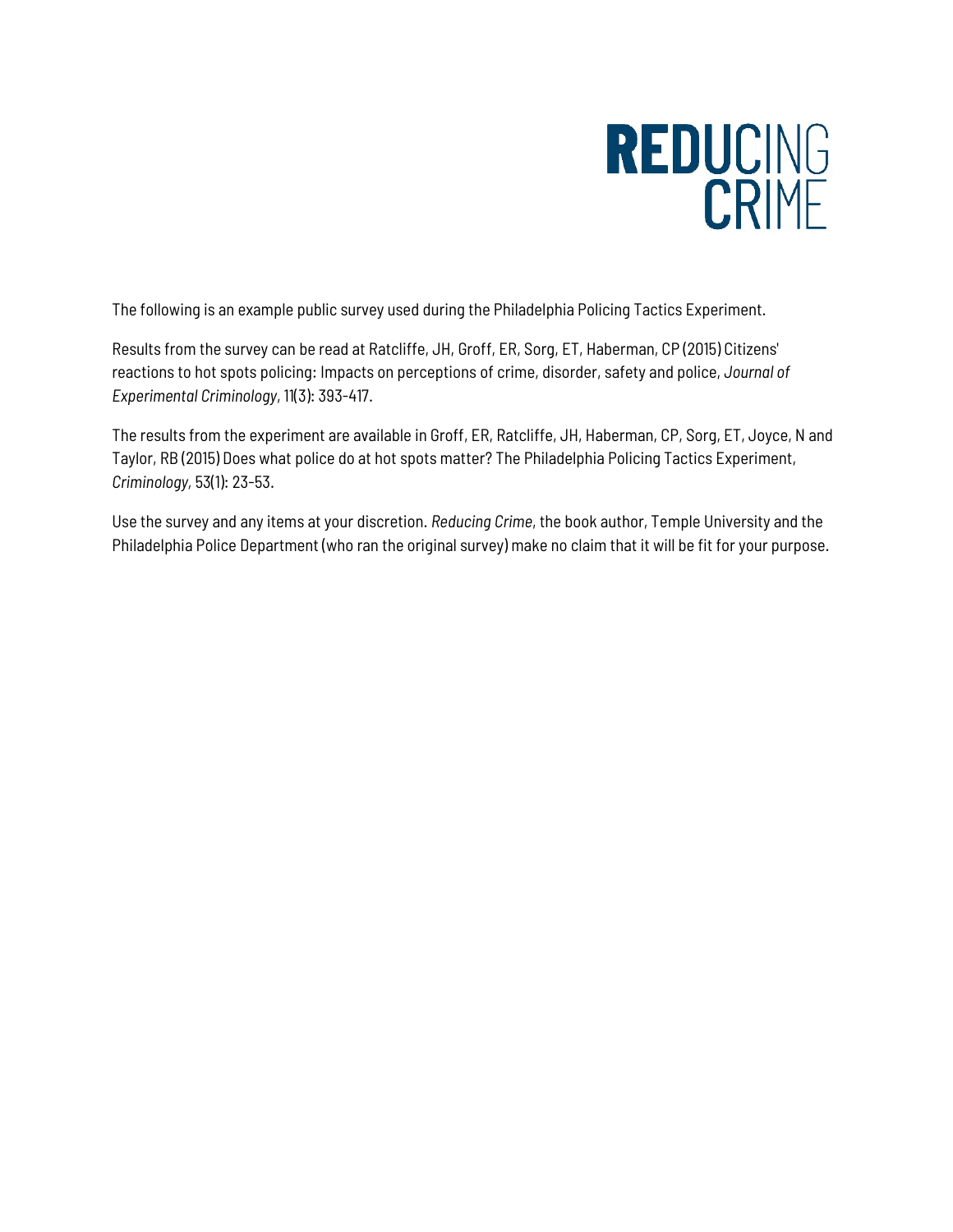# REDUCING

The following is an example public survey used during the Philadelphia Policing Tactics Experiment.

Results from the survey can be read at Ratcliffe, JH, Groff, ER, Sorg, ET, Haberman, CP (2015) Citizens' reactions to hot spots policing: Impacts on perceptions of crime, disorder, safety and police, *Journal of Experimental Criminology*, 11(3): 393-417.

The results from the experiment are available in Groff, ER, Ratcliffe, JH, Haberman, CP, Sorg, ET, Joyce, N and Taylor, RB (2015) Does what police do at hot spots matter? The Philadelphia Policing Tactics Experiment, *Criminology,* 53(1): 23-53.

Use the survey and any items at your discretion. *Reducing Crime*, the book author, Temple University and the Philadelphia Police Department (who ran the original survey) make no claim that it will be fit for your purpose.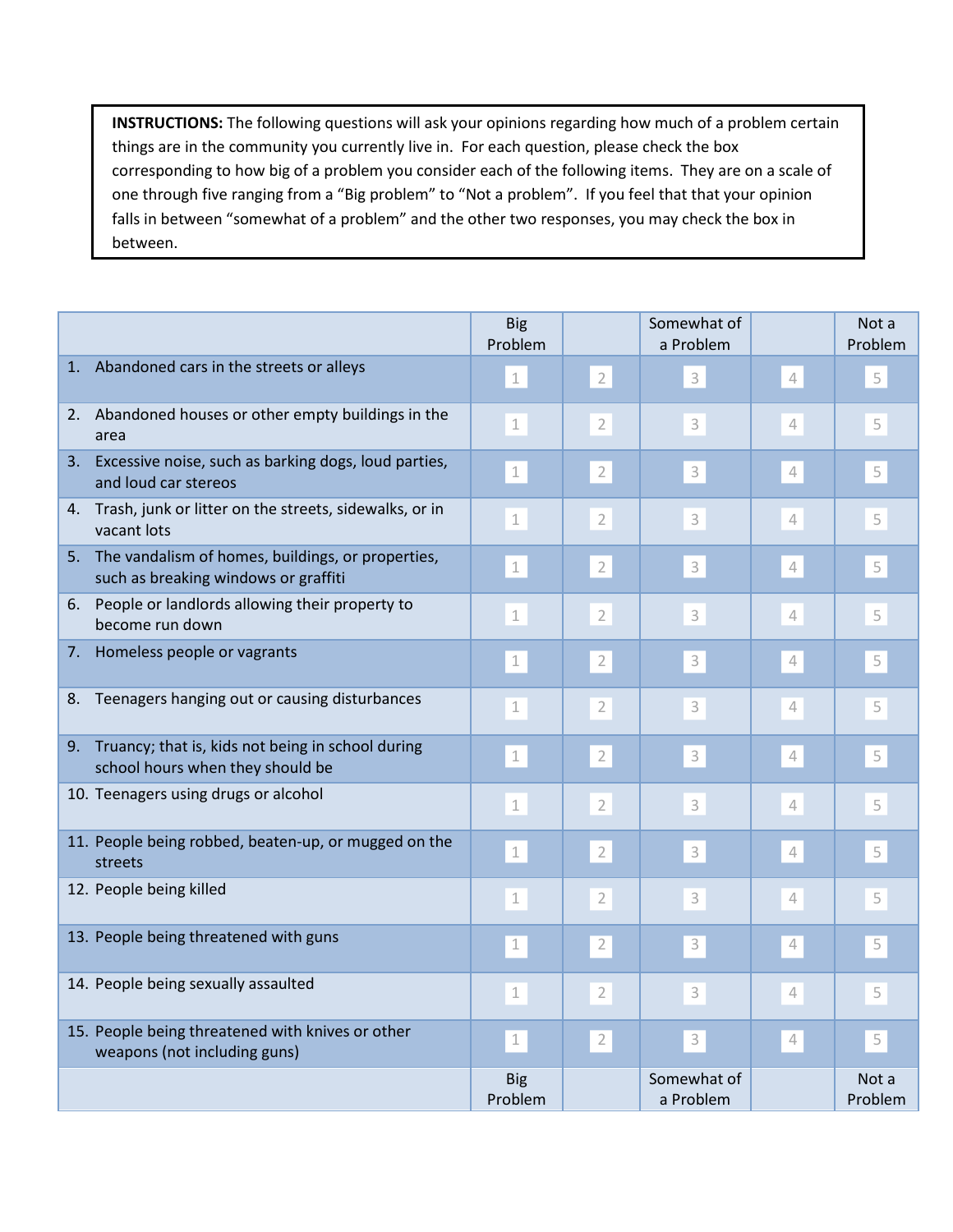**INSTRUCTIONS:** The following questions will ask your opinions regarding how much of a problem certain things are in the community you currently live in. For each question, please check the box corresponding to how big of a problem you consider each of the following items. They are on a scale of one through five ranging from a "Big problem" to "Not a problem". If you feel that that your opinion falls in between "somewhat of a problem" and the other two responses, you may check the box in between.

|    |                                                                                              | <b>Big</b><br>Problem |                | Somewhat of<br>a Problem |                          | Not a<br>Problem |
|----|----------------------------------------------------------------------------------------------|-----------------------|----------------|--------------------------|--------------------------|------------------|
|    | 1. Abandoned cars in the streets or alleys                                                   | $\perp$               | $\overline{2}$ | 3                        | $\overline{4}$           | 5                |
|    | 2. Abandoned houses or other empty buildings in the<br>area                                  | 1                     | $\overline{2}$ | 3                        | $\overline{\mathcal{L}}$ | 5                |
|    | 3. Excessive noise, such as barking dogs, loud parties,<br>and loud car stereos              | $\mathbf 1$           | $\overline{2}$ | 3                        | $\sqrt{\phantom{a}}$     | 5                |
|    | 4. Trash, junk or litter on the streets, sidewalks, or in<br>vacant lots                     | $\mathbf 1$           | $\overline{2}$ | 3                        | 4                        | 5                |
|    | 5. The vandalism of homes, buildings, or properties,<br>such as breaking windows or graffiti | $\mathbf 1$           | $\overline{2}$ | 3                        | $\overline{4}$           | 5                |
|    | 6. People or landlords allowing their property to<br>become run down                         | $\mathbf 1$           | $\overline{2}$ | 3                        | $\overline{4}$           | 5                |
| 7. | Homeless people or vagrants                                                                  | $\perp$               | $\overline{2}$ | 3                        | $\sqrt{\phantom{a}}$     | 5                |
| 8. | Teenagers hanging out or causing disturbances                                                | 1                     | $\overline{2}$ | 3                        | $\overline{4}$           | 5                |
|    | 9. Truancy; that is, kids not being in school during<br>school hours when they should be     | $\perp$               | $\overline{2}$ | 3                        | $\sqrt{\phantom{a}}$     | 5                |
|    | 10. Teenagers using drugs or alcohol                                                         | $\mathbbm{1}$         | $\overline{2}$ | 3                        | $\sqrt{\phantom{a}}$     | 5                |
|    | 11. People being robbed, beaten-up, or mugged on the<br>streets                              | $\perp$               | $\overline{2}$ | 3                        | 4                        | 5                |
|    | 12. People being killed                                                                      | $\mathbf 1$           | $\overline{2}$ | 3                        | $\overline{4}$           | 5                |
|    | 13. People being threatened with guns                                                        | $\perp$               | $\overline{2}$ | $\mathsf 3$              | $\sqrt{\phantom{a}}$     | 5                |
|    | 14. People being sexually assaulted                                                          | $\mathbf 1$           | $\overline{2}$ | 3                        | $\overline{4}$           | 5                |
|    | 15. People being threatened with knives or other<br>weapons (not including guns)             | $\perp$               | $\overline{2}$ | $\mathsf 3$              | $\mathcal{A}$            | 5                |
|    |                                                                                              | <b>Big</b><br>Problem |                | Somewhat of<br>a Problem |                          | Not a<br>Problem |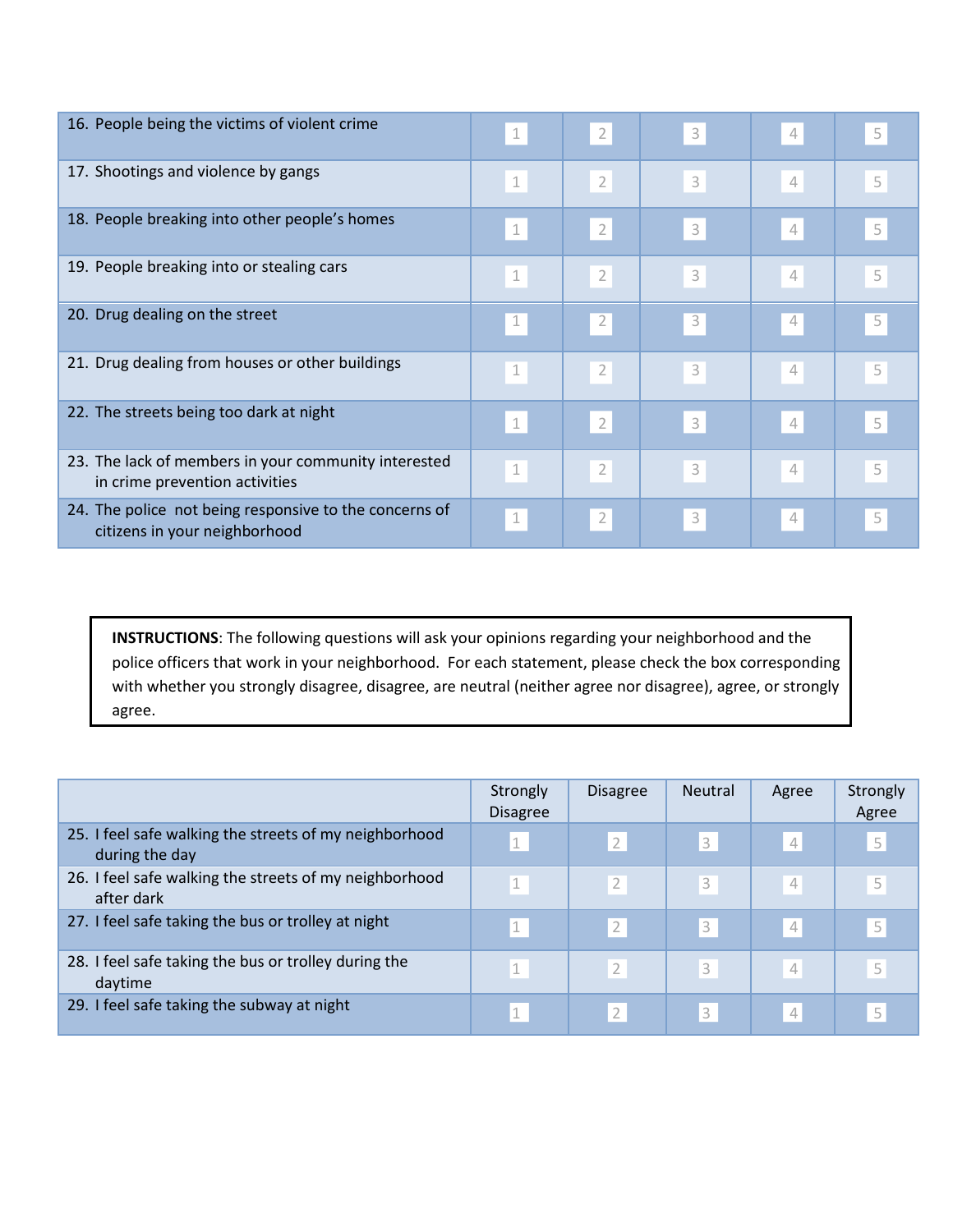| 16. People being the victims of violent crime                                           | $\perp$       | $\overline{2}$ | 3 | 4              | 5 |
|-----------------------------------------------------------------------------------------|---------------|----------------|---|----------------|---|
| 17. Shootings and violence by gangs                                                     | $\mathbbm{1}$ | $\sqrt{2}$     | 3 | $\overline{4}$ | 5 |
| 18. People breaking into other people's homes                                           | $\perp$       | $\overline{2}$ | 3 | 4              | 5 |
| 19. People breaking into or stealing cars                                               | $\mathbf 1$   | $\sqrt{2}$     | 3 | $\overline{4}$ | 5 |
| 20. Drug dealing on the street                                                          | $\perp$       | $\overline{2}$ | 3 | 4              | 5 |
| 21. Drug dealing from houses or other buildings                                         | $1\,$         | $\overline{2}$ | 3 | 4              | 5 |
| 22. The streets being too dark at night                                                 | $\perp$       | $\overline{2}$ | 3 | 4              | 5 |
| 23. The lack of members in your community interested<br>in crime prevention activities  | $1\,$         | $\overline{2}$ | 3 | 4              | 5 |
| 24. The police not being responsive to the concerns of<br>citizens in your neighborhood | $\perp$       | $\overline{2}$ | 3 | 4              | 5 |

**INSTRUCTIONS**: The following questions will ask your opinions regarding your neighborhood and the police officers that work in your neighborhood. For each statement, please check the box corresponding with whether you strongly disagree, disagree, are neutral (neither agree nor disagree), agree, or strongly agree.

|                                                                          | Strongly<br><b>Disagree</b> | <b>Disagree</b> | <b>Neutral</b> | Agree          | Strongly<br>Agree |
|--------------------------------------------------------------------------|-----------------------------|-----------------|----------------|----------------|-------------------|
| 25. I feel safe walking the streets of my neighborhood<br>during the day | 1                           | $\overline{2}$  | 3              | $\overline{4}$ | 5                 |
| 26. I feel safe walking the streets of my neighborhood<br>after dark     | $\mathbf{1}$                | $\overline{2}$  | 3              | $\overline{4}$ | 5                 |
| 27. I feel safe taking the bus or trolley at night                       | $\perp$                     | $\overline{2}$  | 3              | 4              | 5                 |
| 28. I feel safe taking the bus or trolley during the<br>daytime          | 1                           | $\overline{2}$  | 3              | $\overline{4}$ | 5                 |
| 29. I feel safe taking the subway at night                               | 1                           | $\overline{2}$  | 3              | $\overline{4}$ | 5                 |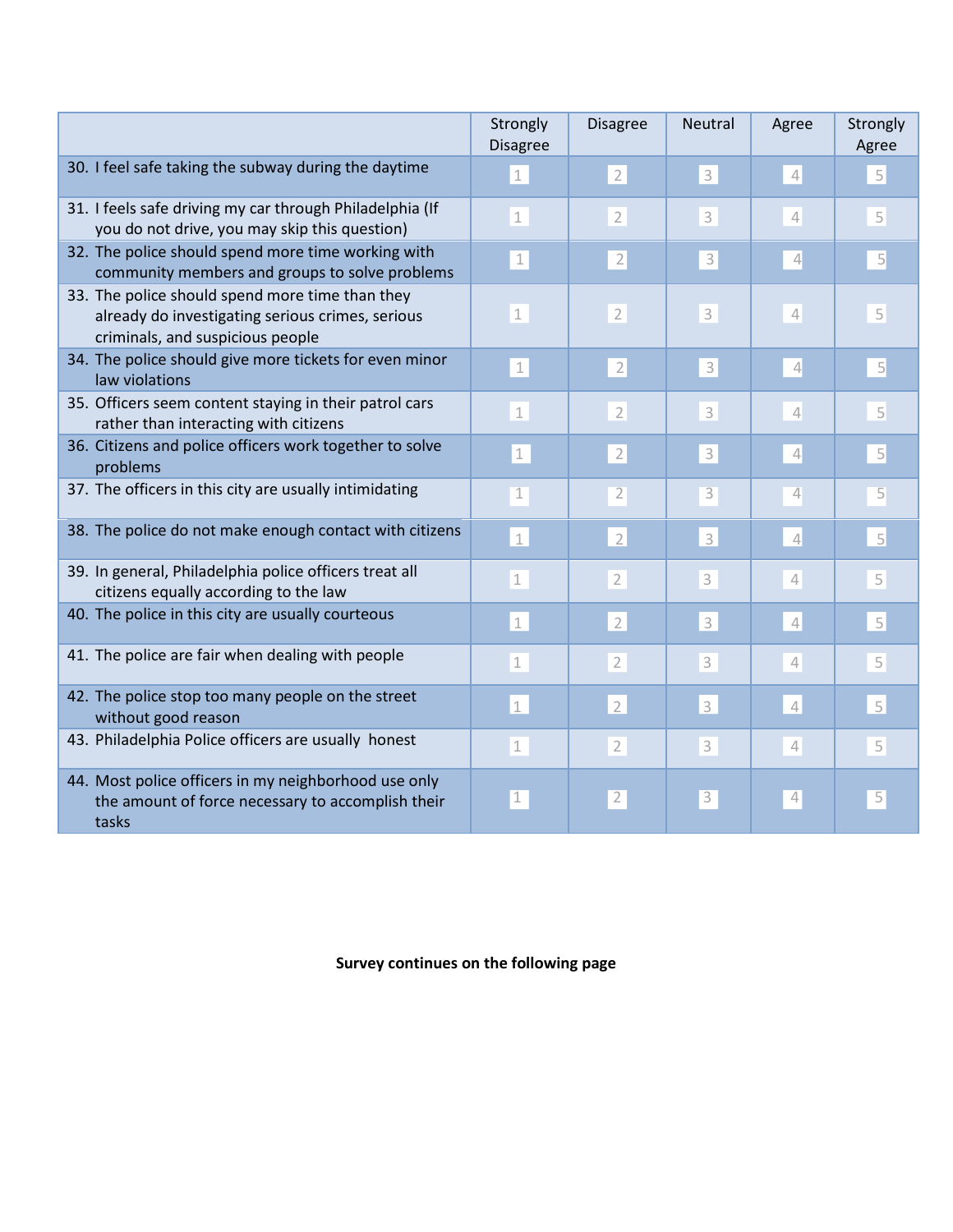|                                                                                                                                         | Strongly<br><b>Disagree</b> | <b>Disagree</b> | Neutral                   | Agree                                                                      | Strongly<br>Agree |
|-----------------------------------------------------------------------------------------------------------------------------------------|-----------------------------|-----------------|---------------------------|----------------------------------------------------------------------------|-------------------|
| 30. I feel safe taking the subway during the daytime                                                                                    | $\mathbf 1$                 | $\overline{2}$  | $\mathsf{3}$              | $\mathcal{L}$                                                              | 5                 |
| 31. I feels safe driving my car through Philadelphia (If<br>you do not drive, you may skip this question)                               | $\perp$                     | $\overline{2}$  | 3                         | $\sqrt{\phantom{a}}$                                                       | 5                 |
| 32. The police should spend more time working with<br>community members and groups to solve problems                                    | $\perp$                     | $\overline{2}$  | $\overline{\mathbf{3}}$   | $\overline{4}$                                                             | 5                 |
| 33. The police should spend more time than they<br>already do investigating serious crimes, serious<br>criminals, and suspicious people | $\mathbf 1$                 | $\overline{2}$  | $\ensuremath{\mathsf{3}}$ | $\sqrt{\phantom{a}}$                                                       | 5                 |
| 34. The police should give more tickets for even minor<br>law violations                                                                | $\perp$                     | $\sqrt{2}$      | 3                         | $\overline{4}$                                                             | $\overline{5}$    |
| 35. Officers seem content staying in their patrol cars<br>rather than interacting with citizens                                         | $\mathbf{1}$                | $\overline{2}$  | 3                         | 4                                                                          | 5                 |
| 36. Citizens and police officers work together to solve<br>problems                                                                     | $\perp$                     | $\overline{2}$  | $\ensuremath{\mathsf{3}}$ | $\sqrt{\phantom{a}}$                                                       | 5                 |
| 37. The officers in this city are usually intimidating                                                                                  | $\overline{1}$              | $\overline{2}$  | 3                         | 4                                                                          | 5                 |
| 38. The police do not make enough contact with citizens                                                                                 | $\mathbbm{1}$               | $\overline{2}$  | $\mathsf{3}$              | $\overline{\mathcal{L}}$                                                   | 5                 |
| 39. In general, Philadelphia police officers treat all<br>citizens equally according to the law                                         | $\mathbf 1$                 | $\overline{2}$  | 3                         | 4                                                                          | 5                 |
| 40. The police in this city are usually courteous                                                                                       | $\mathbf 1$                 | $\overline{2}$  | 3                         | $\sqrt{ }$                                                                 | $\overline{5}$    |
| 41. The police are fair when dealing with people                                                                                        | $\mathbf 1$                 | $\overline{2}$  | 3                         | $\overline{4}$                                                             | 5                 |
| 42. The police stop too many people on the street<br>without good reason                                                                | $\mathbf 1$                 | $\overline{2}$  | 3                         | $\mathcal{A}% _{0}=\mathcal{A}_{\mathrm{C}}\times\mathcal{A}_{\mathrm{C}}$ | 5                 |
| 43. Philadelphia Police officers are usually honest                                                                                     | $\perp$                     | $\overline{2}$  | 3                         | $\mathcal{A}% _{0}=\mathcal{A}_{\mathrm{C}}\times\mathcal{A}_{\mathrm{C}}$ | 5                 |
| 44. Most police officers in my neighborhood use only<br>the amount of force necessary to accomplish their<br>tasks                      | $\perp$                     | $\overline{2}$  | 3                         | $\mathcal{L}_{\!\scriptscriptstyle\Gamma}$                                 | $\overline{5}$    |

**Survey continues on the following page**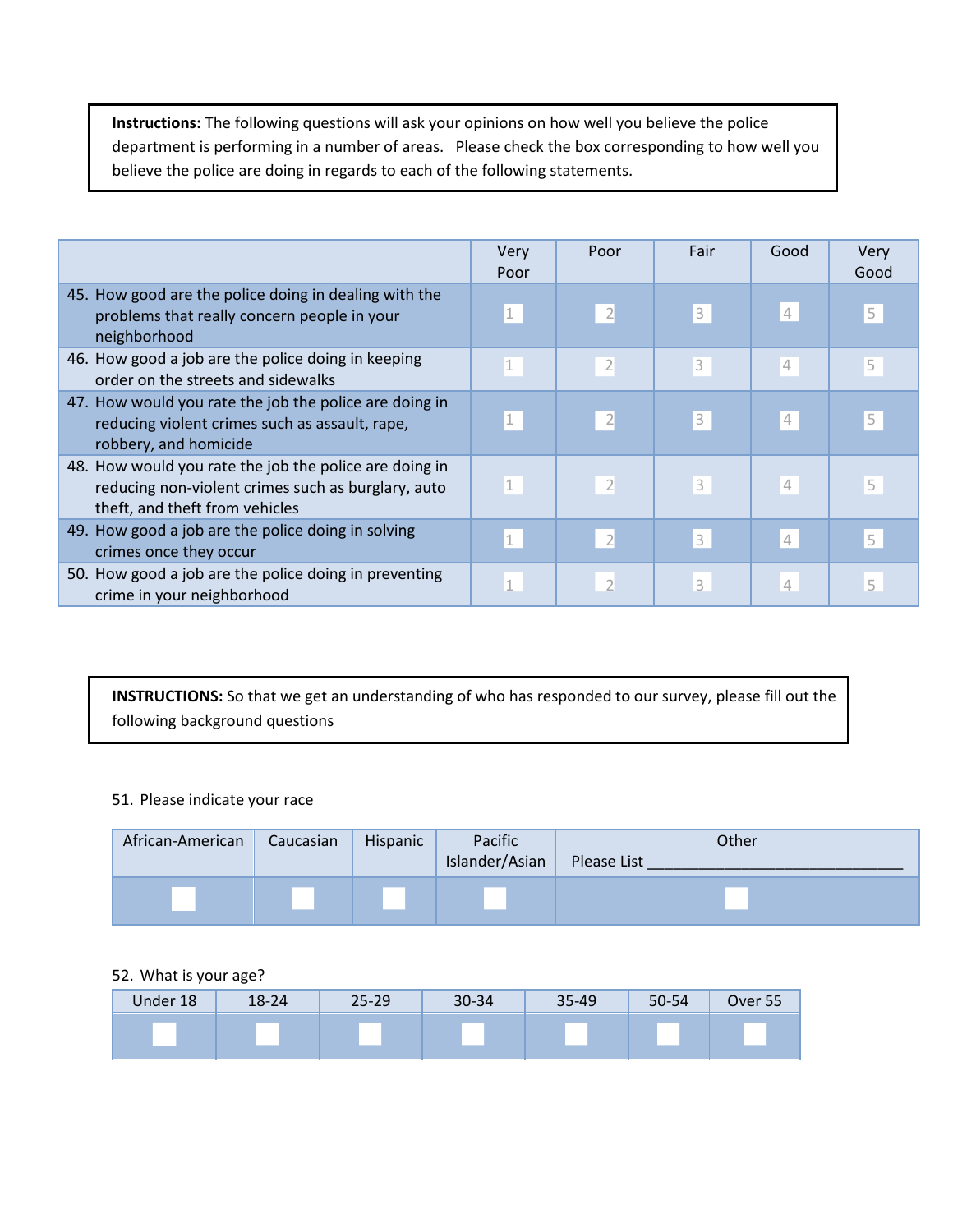**Instructions:** The following questions will ask your opinions on how well you believe the police department is performing in a number of areas. Please check the box corresponding to how well you believe the police are doing in regards to each of the following statements.

|                                                                                                                                                | Very<br>Poor | Poor                     | Fair | Good           | Very<br>Good   |
|------------------------------------------------------------------------------------------------------------------------------------------------|--------------|--------------------------|------|----------------|----------------|
| 45. How good are the police doing in dealing with the<br>problems that really concern people in your<br>neighborhood                           | $\perp$      | $\overline{2}$           | 3    | $\overline{4}$ | 5              |
| 46. How good a job are the police doing in keeping<br>order on the streets and sidewalks                                                       | $\perp$      | $\overline{2}$           | 3    | 4              | 5              |
| 47. How would you rate the job the police are doing in<br>reducing violent crimes such as assault, rape,<br>robbery, and homicide              |              |                          | 3    | 4              | $\overline{5}$ |
| 48. How would you rate the job the police are doing in<br>reducing non-violent crimes such as burglary, auto<br>theft, and theft from vehicles | $\vert$ 1    | $\overline{2}$           | 3    | $\overline{4}$ | 5              |
| 49. How good a job are the police doing in solving<br>crimes once they occur                                                                   | $\mathbf 1$  | $\overline{2}$           | 3    | $\overline{4}$ | 5              |
| 50. How good a job are the police doing in preventing<br>crime in your neighborhood                                                            | $\mathbf{1}$ | $\overline{\phantom{a}}$ | 3    | $\overline{4}$ | 5              |

**INSTRUCTIONS:** So that we get an understanding of who has responded to our survey, please fill out the following background questions

### 51. Please indicate your race

| African-American | Caucasian | Hispanic | Pacific<br>Islander/Asian | Other<br>Please List |
|------------------|-----------|----------|---------------------------|----------------------|
|                  |           |          |                           |                      |

# 52. What is your age?

| Under 18 | $18 - 24$ | 25-29 | 30-34 | 35-49 | 50-54 | Over 55 |
|----------|-----------|-------|-------|-------|-------|---------|
|          |           |       |       |       |       |         |
|          |           |       |       |       |       |         |